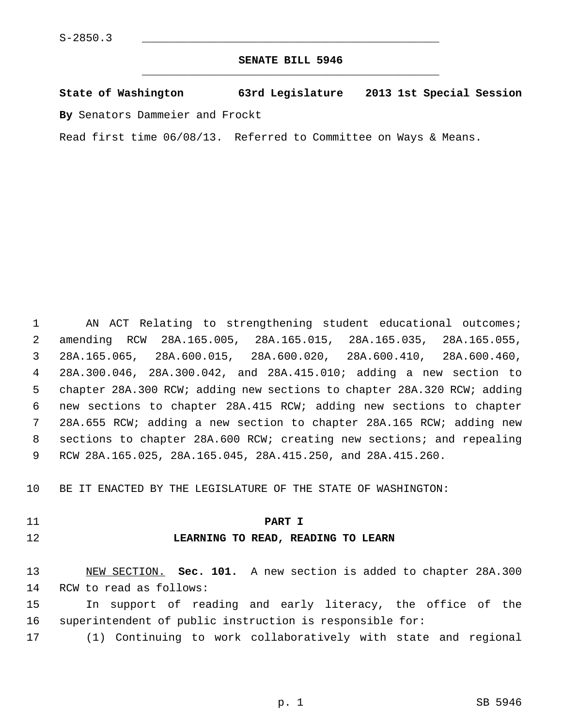#### **SENATE BILL 5946** \_\_\_\_\_\_\_\_\_\_\_\_\_\_\_\_\_\_\_\_\_\_\_\_\_\_\_\_\_\_\_\_\_\_\_\_\_\_\_\_\_\_\_\_\_

# **State of Washington 63rd Legislature 2013 1st Special Session**

**By** Senators Dammeier and Frockt

Read first time 06/08/13. Referred to Committee on Ways & Means.

 1 AN ACT Relating to strengthening student educational outcomes; 2 amending RCW 28A.165.005, 28A.165.015, 28A.165.035, 28A.165.055, 3 28A.165.065, 28A.600.015, 28A.600.020, 28A.600.410, 28A.600.460, 4 28A.300.046, 28A.300.042, and 28A.415.010; adding a new section to 5 chapter 28A.300 RCW; adding new sections to chapter 28A.320 RCW; adding 6 new sections to chapter 28A.415 RCW; adding new sections to chapter 7 28A.655 RCW; adding a new section to chapter 28A.165 RCW; adding new 8 sections to chapter 28A.600 RCW; creating new sections; and repealing 9 RCW 28A.165.025, 28A.165.045, 28A.415.250, and 28A.415.260.

10 BE IT ENACTED BY THE LEGISLATURE OF THE STATE OF WASHINGTON:

## 11 **PART I**

#### 12 **LEARNING TO READ, READING TO LEARN**

13 NEW SECTION. **Sec. 101.** A new section is added to chapter 28A.300 14 RCW to read as follows:

15 In support of reading and early literacy, the office of the 16 superintendent of public instruction is responsible for:

17 (1) Continuing to work collaboratively with state and regional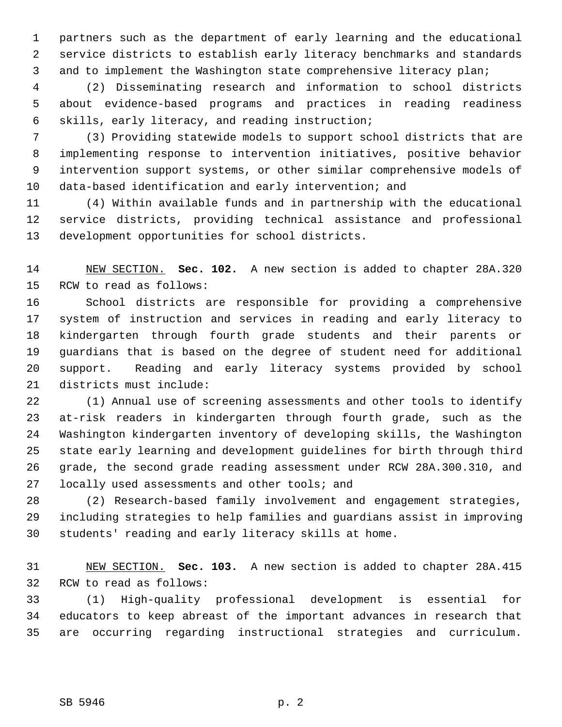1 partners such as the department of early learning and the educational 2 service districts to establish early literacy benchmarks and standards 3 and to implement the Washington state comprehensive literacy plan;

 4 (2) Disseminating research and information to school districts 5 about evidence-based programs and practices in reading readiness 6 skills, early literacy, and reading instruction;

 7 (3) Providing statewide models to support school districts that are 8 implementing response to intervention initiatives, positive behavior 9 intervention support systems, or other similar comprehensive models of 10 data-based identification and early intervention; and

11 (4) Within available funds and in partnership with the educational 12 service districts, providing technical assistance and professional 13 development opportunities for school districts.

14 NEW SECTION. **Sec. 102.** A new section is added to chapter 28A.320 15 RCW to read as follows:

16 School districts are responsible for providing a comprehensive 17 system of instruction and services in reading and early literacy to 18 kindergarten through fourth grade students and their parents or 19 guardians that is based on the degree of student need for additional 20 support. Reading and early literacy systems provided by school 21 districts must include:

22 (1) Annual use of screening assessments and other tools to identify 23 at-risk readers in kindergarten through fourth grade, such as the 24 Washington kindergarten inventory of developing skills, the Washington 25 state early learning and development guidelines for birth through third 26 grade, the second grade reading assessment under RCW 28A.300.310, and 27 locally used assessments and other tools; and

28 (2) Research-based family involvement and engagement strategies, 29 including strategies to help families and guardians assist in improving 30 students' reading and early literacy skills at home.

31 NEW SECTION. **Sec. 103.** A new section is added to chapter 28A.415 32 RCW to read as follows:

33 (1) High-quality professional development is essential for 34 educators to keep abreast of the important advances in research that 35 are occurring regarding instructional strategies and curriculum.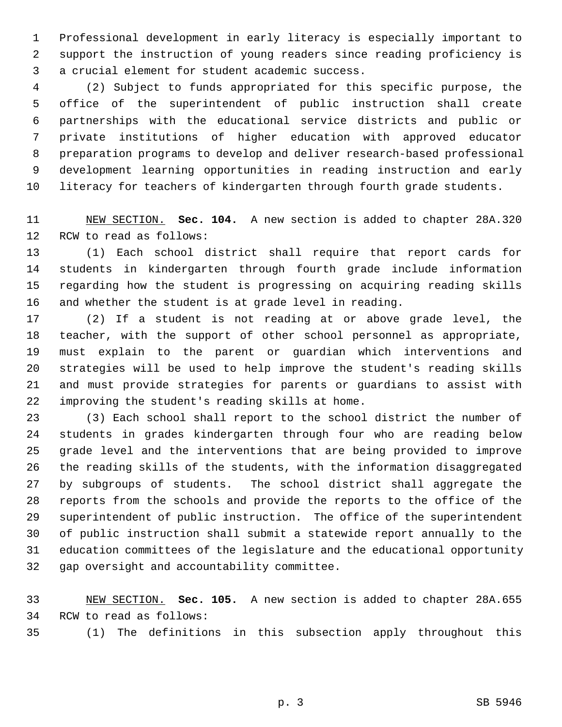1 Professional development in early literacy is especially important to 2 support the instruction of young readers since reading proficiency is 3 a crucial element for student academic success.

 4 (2) Subject to funds appropriated for this specific purpose, the 5 office of the superintendent of public instruction shall create 6 partnerships with the educational service districts and public or 7 private institutions of higher education with approved educator 8 preparation programs to develop and deliver research-based professional 9 development learning opportunities in reading instruction and early 10 literacy for teachers of kindergarten through fourth grade students.

11 NEW SECTION. **Sec. 104.** A new section is added to chapter 28A.320 12 RCW to read as follows:

13 (1) Each school district shall require that report cards for 14 students in kindergarten through fourth grade include information 15 regarding how the student is progressing on acquiring reading skills 16 and whether the student is at grade level in reading.

17 (2) If a student is not reading at or above grade level, the 18 teacher, with the support of other school personnel as appropriate, 19 must explain to the parent or guardian which interventions and 20 strategies will be used to help improve the student's reading skills 21 and must provide strategies for parents or guardians to assist with 22 improving the student's reading skills at home.

23 (3) Each school shall report to the school district the number of 24 students in grades kindergarten through four who are reading below 25 grade level and the interventions that are being provided to improve 26 the reading skills of the students, with the information disaggregated 27 by subgroups of students. The school district shall aggregate the 28 reports from the schools and provide the reports to the office of the 29 superintendent of public instruction. The office of the superintendent 30 of public instruction shall submit a statewide report annually to the 31 education committees of the legislature and the educational opportunity 32 gap oversight and accountability committee.

33 NEW SECTION. **Sec. 105.** A new section is added to chapter 28A.655 34 RCW to read as follows:

35 (1) The definitions in this subsection apply throughout this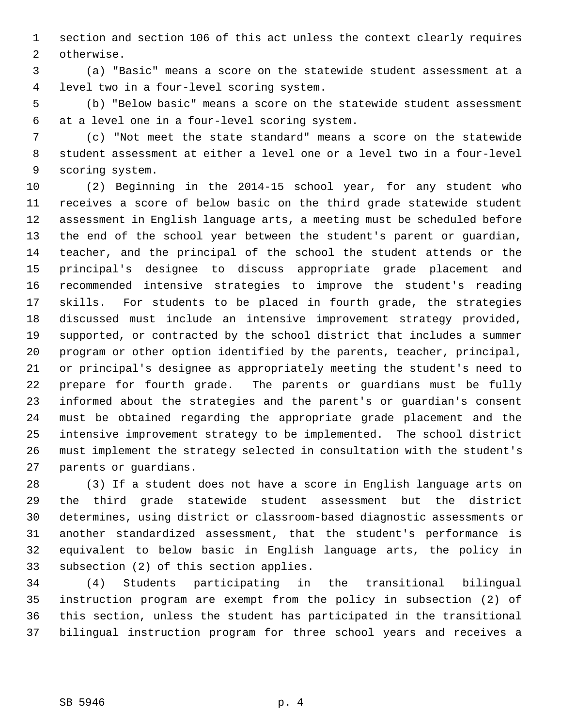1 section and section 106 of this act unless the context clearly requires 2 otherwise.

 3 (a) "Basic" means a score on the statewide student assessment at a 4 level two in a four-level scoring system.

 5 (b) "Below basic" means a score on the statewide student assessment 6 at a level one in a four-level scoring system.

 7 (c) "Not meet the state standard" means a score on the statewide 8 student assessment at either a level one or a level two in a four-level 9 scoring system.

10 (2) Beginning in the 2014-15 school year, for any student who 11 receives a score of below basic on the third grade statewide student 12 assessment in English language arts, a meeting must be scheduled before 13 the end of the school year between the student's parent or guardian, 14 teacher, and the principal of the school the student attends or the 15 principal's designee to discuss appropriate grade placement and 16 recommended intensive strategies to improve the student's reading 17 skills. For students to be placed in fourth grade, the strategies 18 discussed must include an intensive improvement strategy provided, 19 supported, or contracted by the school district that includes a summer 20 program or other option identified by the parents, teacher, principal, 21 or principal's designee as appropriately meeting the student's need to 22 prepare for fourth grade. The parents or guardians must be fully 23 informed about the strategies and the parent's or guardian's consent 24 must be obtained regarding the appropriate grade placement and the 25 intensive improvement strategy to be implemented. The school district 26 must implement the strategy selected in consultation with the student's 27 parents or guardians.

28 (3) If a student does not have a score in English language arts on 29 the third grade statewide student assessment but the district 30 determines, using district or classroom-based diagnostic assessments or 31 another standardized assessment, that the student's performance is 32 equivalent to below basic in English language arts, the policy in 33 subsection (2) of this section applies.

34 (4) Students participating in the transitional bilingual 35 instruction program are exempt from the policy in subsection (2) of 36 this section, unless the student has participated in the transitional 37 bilingual instruction program for three school years and receives a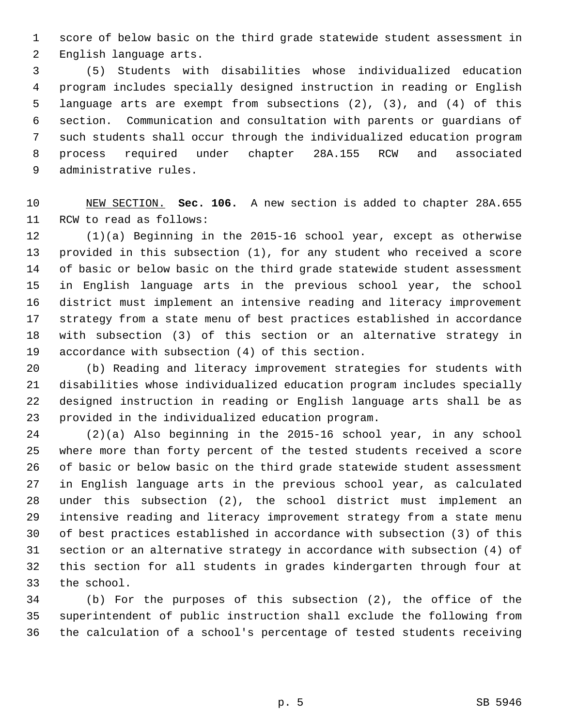1 score of below basic on the third grade statewide student assessment in 2 English language arts.

 3 (5) Students with disabilities whose individualized education 4 program includes specially designed instruction in reading or English 5 language arts are exempt from subsections (2), (3), and (4) of this 6 section. Communication and consultation with parents or guardians of 7 such students shall occur through the individualized education program 8 process required under chapter 28A.155 RCW and associated 9 administrative rules.

10 NEW SECTION. **Sec. 106.** A new section is added to chapter 28A.655 11 RCW to read as follows:

12 (1)(a) Beginning in the 2015-16 school year, except as otherwise 13 provided in this subsection (1), for any student who received a score 14 of basic or below basic on the third grade statewide student assessment 15 in English language arts in the previous school year, the school 16 district must implement an intensive reading and literacy improvement 17 strategy from a state menu of best practices established in accordance 18 with subsection (3) of this section or an alternative strategy in 19 accordance with subsection (4) of this section.

20 (b) Reading and literacy improvement strategies for students with 21 disabilities whose individualized education program includes specially 22 designed instruction in reading or English language arts shall be as 23 provided in the individualized education program.

24 (2)(a) Also beginning in the 2015-16 school year, in any school 25 where more than forty percent of the tested students received a score 26 of basic or below basic on the third grade statewide student assessment 27 in English language arts in the previous school year, as calculated 28 under this subsection (2), the school district must implement an 29 intensive reading and literacy improvement strategy from a state menu 30 of best practices established in accordance with subsection (3) of this 31 section or an alternative strategy in accordance with subsection (4) of 32 this section for all students in grades kindergarten through four at 33 the school.

34 (b) For the purposes of this subsection (2), the office of the 35 superintendent of public instruction shall exclude the following from 36 the calculation of a school's percentage of tested students receiving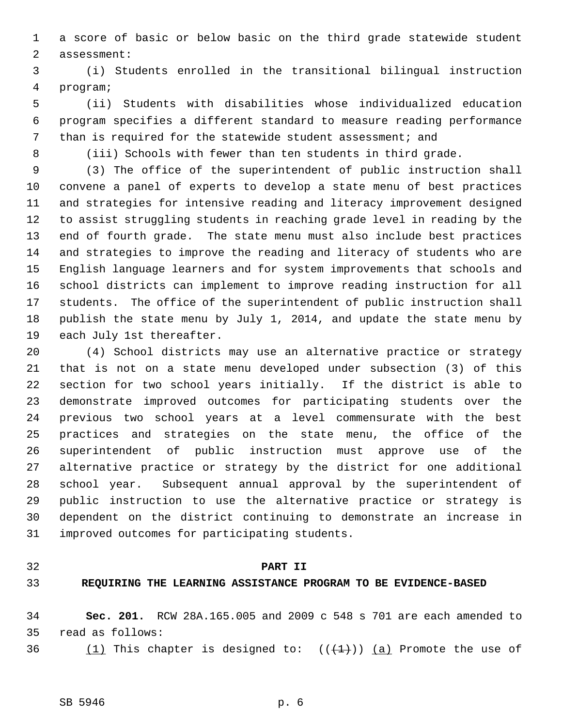1 a score of basic or below basic on the third grade statewide student 2 assessment:

 3 (i) Students enrolled in the transitional bilingual instruction 4 program;

 5 (ii) Students with disabilities whose individualized education 6 program specifies a different standard to measure reading performance 7 than is required for the statewide student assessment; and

8 (iii) Schools with fewer than ten students in third grade.

 9 (3) The office of the superintendent of public instruction shall 10 convene a panel of experts to develop a state menu of best practices 11 and strategies for intensive reading and literacy improvement designed 12 to assist struggling students in reaching grade level in reading by the 13 end of fourth grade. The state menu must also include best practices 14 and strategies to improve the reading and literacy of students who are 15 English language learners and for system improvements that schools and 16 school districts can implement to improve reading instruction for all 17 students. The office of the superintendent of public instruction shall 18 publish the state menu by July 1, 2014, and update the state menu by 19 each July 1st thereafter.

20 (4) School districts may use an alternative practice or strategy 21 that is not on a state menu developed under subsection (3) of this 22 section for two school years initially. If the district is able to 23 demonstrate improved outcomes for participating students over the 24 previous two school years at a level commensurate with the best 25 practices and strategies on the state menu, the office of the 26 superintendent of public instruction must approve use of the 27 alternative practice or strategy by the district for one additional 28 school year. Subsequent annual approval by the superintendent of 29 public instruction to use the alternative practice or strategy is 30 dependent on the district continuing to demonstrate an increase in 31 improved outcomes for participating students.

#### 32 **PART II**

### 33 **REQUIRING THE LEARNING ASSISTANCE PROGRAM TO BE EVIDENCE-BASED**

34 **Sec. 201.** RCW 28A.165.005 and 2009 c 548 s 701 are each amended to 35 read as follows:

36  $(1)$  This chapter is designed to:  $((+1))$   $(a)$  Promote the use of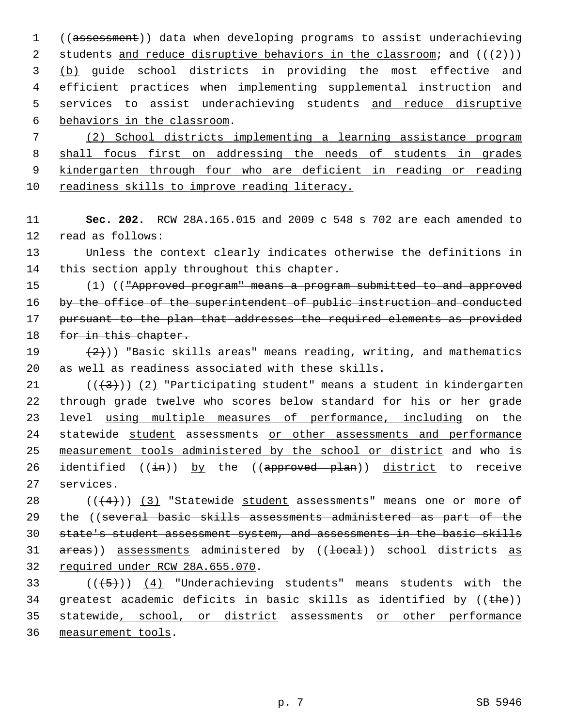1 ((assessment)) data when developing programs to assist underachieving 2 students and reduce disruptive behaviors in the classroom; and  $((+2))$  3 (b) guide school districts in providing the most effective and 4 efficient practices when implementing supplemental instruction and 5 services to assist underachieving students and reduce disruptive 6 behaviors in the classroom.

 (2) School districts implementing a learning assistance program shall focus first on addressing the needs of students in grades kindergarten through four who are deficient in reading or reading readiness skills to improve reading literacy.

11 **Sec. 202.** RCW 28A.165.015 and 2009 c 548 s 702 are each amended to 12 read as follows:

13 Unless the context clearly indicates otherwise the definitions in 14 this section apply throughout this chapter.

15 (1) (("Approved program" means a program submitted to and approved 16 by the office of the superintendent of public instruction and conducted 17 pursuant to the plan that addresses the required elements as provided 18 for in this chapter.

19  $(2)$ )) "Basic skills areas" means reading, writing, and mathematics 20 as well as readiness associated with these skills.

21  $((+3))$  (2) "Participating student" means a student in kindergarten 22 through grade twelve who scores below standard for his or her grade 23 level using multiple measures of performance, including on the 24 statewide student assessments or other assessments and performance 25 measurement tools administered by the school or district and who is 26 identified  $((\frac{1}{2}m))$  by the  $((\frac{1}{2}m)(\frac{1}{2}m)$  district to receive 27 services.

28  $((4+))$  (3) "Statewide student assessments" means one or more of 29 the ((several basic skills assessments administered as part of the 30 state's student assessment system, and assessments in the basic skills 31 areas)) assessments administered by ((<del>local</del>)) school districts as 32 required under RCW 28A.655.070.

33 ( $(\overline{5})$ ) (4) "Underachieving students" means students with the 34 greatest academic deficits in basic skills as identified by  $((the))$ 35 statewide, school, or district assessments or other performance 36 measurement tools.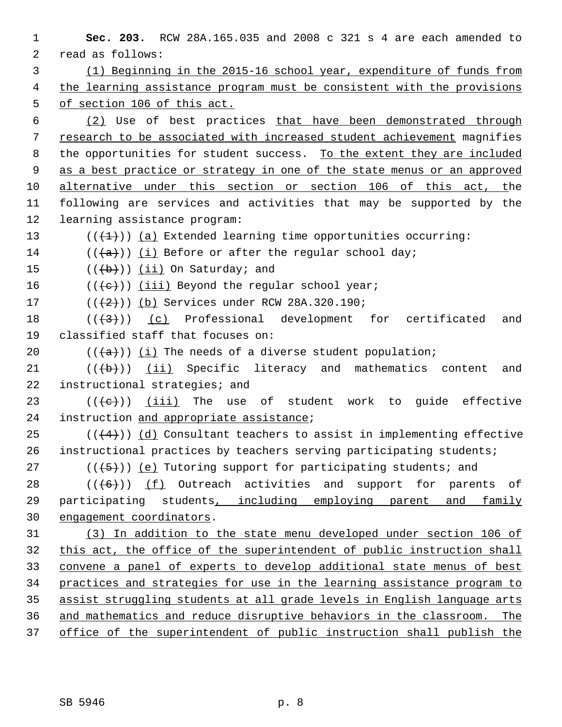**Sec. 203.** RCW 28A.165.035 and 2008 c 321 s 4 are each amended to 2 read as follows: (1) Beginning in the 2015-16 school year, expenditure of funds from the learning assistance program must be consistent with the provisions of section 106 of this act. (2) Use of best practices that have been demonstrated through research to be associated with increased student achievement magnifies 8 the opportunities for student success. To the extent they are included as a best practice or strategy in one of the state menus or an approved alternative under this section or section 106 of this act, the 11 following are services and activities that may be supported by the 12 learning assistance program:  $((+1))$  (a) Extended learning time opportunities occurring:  $((+a))$  (i) Before or after the regular school day;  $((+b))$  (ii) On Saturday; and  $((\{e\})$  (iii) Beyond the regular school year;  $((+2)^{n})$  (b) Services under RCW 28A.320.190; ( $(\overline{+3})$ ) (c) Professional development for certificated and 19 classified staff that focuses on:  $((+a))$  (i) The needs of a diverse student population;  $((+b))$  (ii) Specific literacy and mathematics content and 22 instructional strategies; and 23 ( $(\{e\})$ ) (iii) The use of student work to quide effective 24 instruction and appropriate assistance; 25 ( $(\frac{4}{4})$ ) (d) Consultant teachers to assist in implementing effective 26 instructional practices by teachers serving participating students; 27 ( $(\overline{\smash{.}(\{5\})})$  (e) Tutoring support for participating students; and  $((+6))$  (f) Outreach activities and support for parents of 29 participating students, including employing parent and family engagement coordinators. (3) In addition to the state menu developed under section 106 of this act, the office of the superintendent of public instruction shall convene a panel of experts to develop additional state menus of best practices and strategies for use in the learning assistance program to assist struggling students at all grade levels in English language arts and mathematics and reduce disruptive behaviors in the classroom. The office of the superintendent of public instruction shall publish the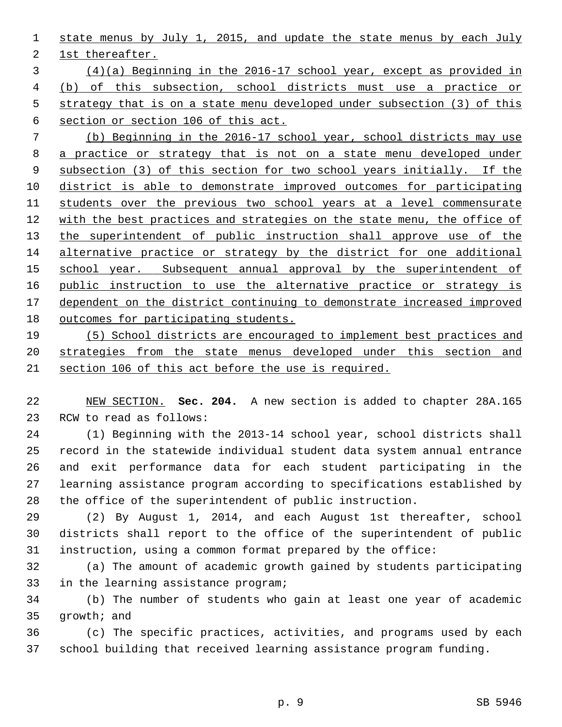1 state menus by July 1, 2015, and update the state menus by each July

2 1st thereafter.

 (4)(a) Beginning in the 2016-17 school year, except as provided in (b) of this subsection, school districts must use a practice or strategy that is on a state menu developed under subsection (3) of this section or section 106 of this act.

 (b) Beginning in the 2016-17 school year, school districts may use a practice or strategy that is not on a state menu developed under subsection (3) of this section for two school years initially. If the district is able to demonstrate improved outcomes for participating students over the previous two school years at a level commensurate with the best practices and strategies on the state menu, the office of the superintendent of public instruction shall approve use of the alternative practice or strategy by the district for one additional school year. Subsequent annual approval by the superintendent of public instruction to use the alternative practice or strategy is dependent on the district continuing to demonstrate increased improved outcomes for participating students.

19 (5) School districts are encouraged to implement best practices and 20 strategies from the state menus developed under this section and 21 section 106 of this act before the use is required.

22 NEW SECTION. **Sec. 204.** A new section is added to chapter 28A.165 23 RCW to read as follows:

24 (1) Beginning with the 2013-14 school year, school districts shall 25 record in the statewide individual student data system annual entrance 26 and exit performance data for each student participating in the 27 learning assistance program according to specifications established by 28 the office of the superintendent of public instruction.

29 (2) By August 1, 2014, and each August 1st thereafter, school 30 districts shall report to the office of the superintendent of public 31 instruction, using a common format prepared by the office:

32 (a) The amount of academic growth gained by students participating 33 in the learning assistance program;

34 (b) The number of students who gain at least one year of academic 35 growth; and

36 (c) The specific practices, activities, and programs used by each 37 school building that received learning assistance program funding.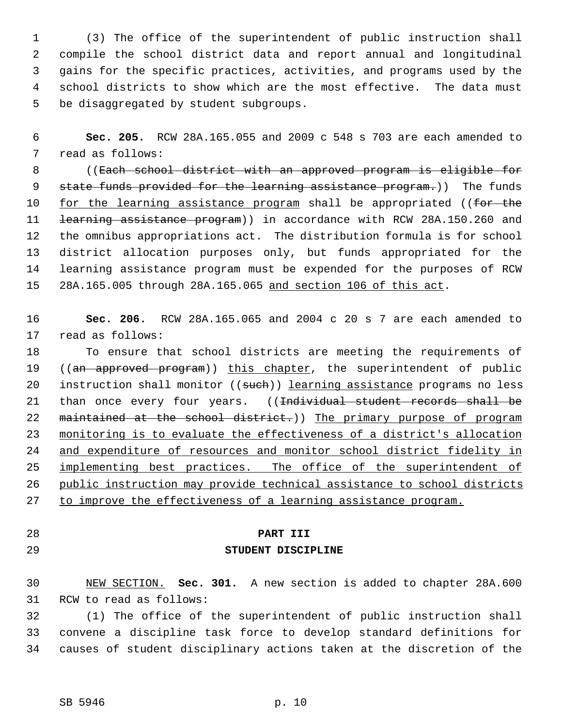1 (3) The office of the superintendent of public instruction shall 2 compile the school district data and report annual and longitudinal 3 gains for the specific practices, activities, and programs used by the 4 school districts to show which are the most effective. The data must 5 be disaggregated by student subgroups.

 6 **Sec. 205.** RCW 28A.165.055 and 2009 c 548 s 703 are each amended to 7 read as follows:

 8 ((Each school district with an approved program is eligible for 9 state funds provided for the learning assistance program.)) The funds 10 for the learning assistance program shall be appropriated ((for the 11 <del>learning assistance program</del>)) in accordance with RCW 28A.150.260 and 12 the omnibus appropriations act. The distribution formula is for school 13 district allocation purposes only, but funds appropriated for the 14 learning assistance program must be expended for the purposes of RCW 15 28A.165.005 through 28A.165.065 and section 106 of this act.

16 **Sec. 206.** RCW 28A.165.065 and 2004 c 20 s 7 are each amended to 17 read as follows:

18 To ensure that school districts are meeting the requirements of 19 ((an approved program)) this chapter, the superintendent of public 20 instruction shall monitor ((such)) learning assistance programs no less 21 than once every four years. ((<del>Individual student records shall be</del> 22 maintained at the school district.)) The primary purpose of program 23 monitoring is to evaluate the effectiveness of a district's allocation 24 and expenditure of resources and monitor school district fidelity in 25 implementing best practices. The office of the superintendent of 26 public instruction may provide technical assistance to school districts 27 to improve the effectiveness of a learning assistance program.

#### 28 **PART III**

## 29 **STUDENT DISCIPLINE**

30 NEW SECTION. **Sec. 301.** A new section is added to chapter 28A.600 31 RCW to read as follows:

32 (1) The office of the superintendent of public instruction shall 33 convene a discipline task force to develop standard definitions for 34 causes of student disciplinary actions taken at the discretion of the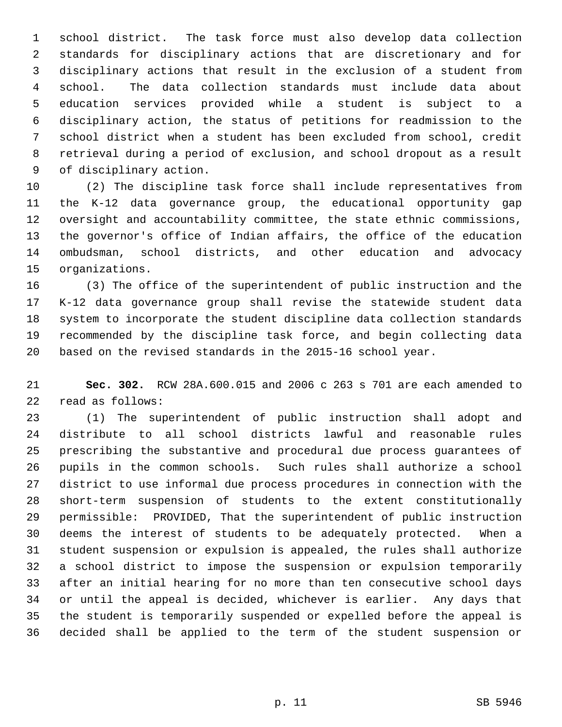1 school district. The task force must also develop data collection 2 standards for disciplinary actions that are discretionary and for 3 disciplinary actions that result in the exclusion of a student from 4 school. The data collection standards must include data about 5 education services provided while a student is subject to a 6 disciplinary action, the status of petitions for readmission to the 7 school district when a student has been excluded from school, credit 8 retrieval during a period of exclusion, and school dropout as a result 9 of disciplinary action.

10 (2) The discipline task force shall include representatives from 11 the K-12 data governance group, the educational opportunity gap 12 oversight and accountability committee, the state ethnic commissions, 13 the governor's office of Indian affairs, the office of the education 14 ombudsman, school districts, and other education and advocacy 15 organizations.

16 (3) The office of the superintendent of public instruction and the 17 K-12 data governance group shall revise the statewide student data 18 system to incorporate the student discipline data collection standards 19 recommended by the discipline task force, and begin collecting data 20 based on the revised standards in the 2015-16 school year.

21 **Sec. 302.** RCW 28A.600.015 and 2006 c 263 s 701 are each amended to 22 read as follows:

23 (1) The superintendent of public instruction shall adopt and 24 distribute to all school districts lawful and reasonable rules 25 prescribing the substantive and procedural due process guarantees of 26 pupils in the common schools. Such rules shall authorize a school 27 district to use informal due process procedures in connection with the 28 short-term suspension of students to the extent constitutionally 29 permissible: PROVIDED, That the superintendent of public instruction 30 deems the interest of students to be adequately protected. When a 31 student suspension or expulsion is appealed, the rules shall authorize 32 a school district to impose the suspension or expulsion temporarily 33 after an initial hearing for no more than ten consecutive school days 34 or until the appeal is decided, whichever is earlier. Any days that 35 the student is temporarily suspended or expelled before the appeal is 36 decided shall be applied to the term of the student suspension or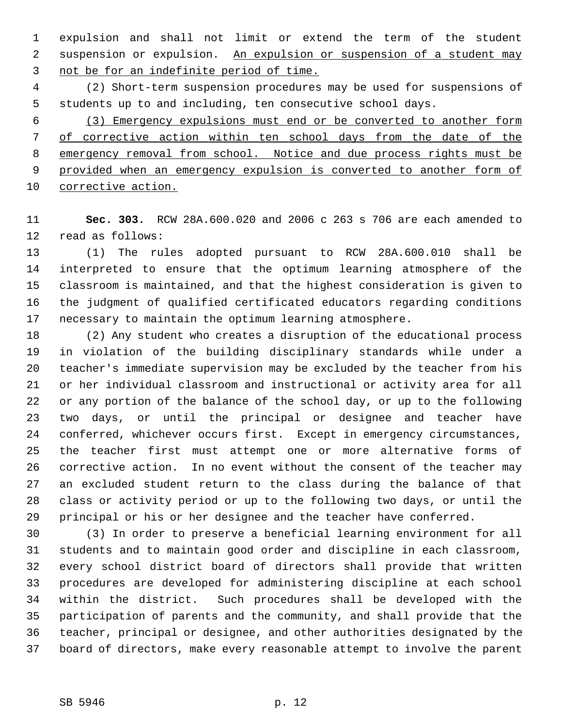1 expulsion and shall not limit or extend the term of the student 2 suspension or expulsion. An expulsion or suspension of a student may 3 not be for an indefinite period of time.

 4 (2) Short-term suspension procedures may be used for suspensions of 5 students up to and including, ten consecutive school days.

 (3) Emergency expulsions must end or be converted to another form of corrective action within ten school days from the date of the emergency removal from school. Notice and due process rights must be provided when an emergency expulsion is converted to another form of corrective action.

11 **Sec. 303.** RCW 28A.600.020 and 2006 c 263 s 706 are each amended to 12 read as follows:

13 (1) The rules adopted pursuant to RCW 28A.600.010 shall be 14 interpreted to ensure that the optimum learning atmosphere of the 15 classroom is maintained, and that the highest consideration is given to 16 the judgment of qualified certificated educators regarding conditions 17 necessary to maintain the optimum learning atmosphere.

18 (2) Any student who creates a disruption of the educational process 19 in violation of the building disciplinary standards while under a 20 teacher's immediate supervision may be excluded by the teacher from his 21 or her individual classroom and instructional or activity area for all 22 or any portion of the balance of the school day, or up to the following 23 two days, or until the principal or designee and teacher have 24 conferred, whichever occurs first. Except in emergency circumstances, 25 the teacher first must attempt one or more alternative forms of 26 corrective action. In no event without the consent of the teacher may 27 an excluded student return to the class during the balance of that 28 class or activity period or up to the following two days, or until the 29 principal or his or her designee and the teacher have conferred.

30 (3) In order to preserve a beneficial learning environment for all 31 students and to maintain good order and discipline in each classroom, 32 every school district board of directors shall provide that written 33 procedures are developed for administering discipline at each school 34 within the district. Such procedures shall be developed with the 35 participation of parents and the community, and shall provide that the 36 teacher, principal or designee, and other authorities designated by the 37 board of directors, make every reasonable attempt to involve the parent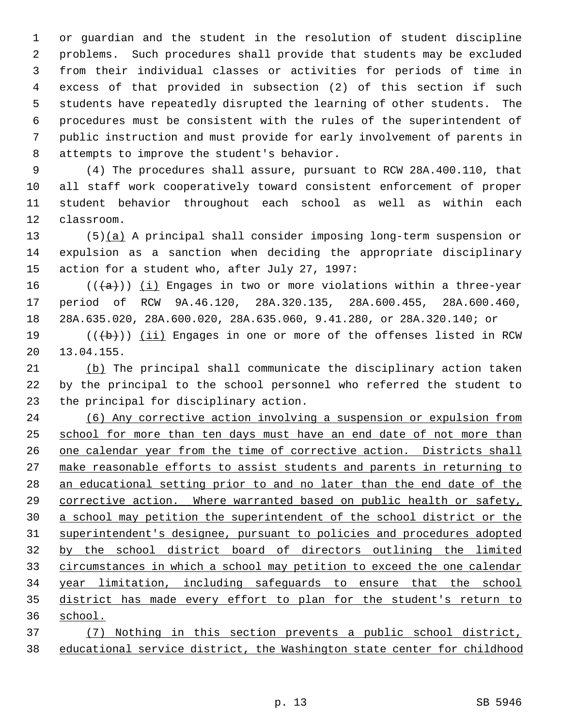1 or guardian and the student in the resolution of student discipline 2 problems. Such procedures shall provide that students may be excluded 3 from their individual classes or activities for periods of time in 4 excess of that provided in subsection (2) of this section if such 5 students have repeatedly disrupted the learning of other students. The 6 procedures must be consistent with the rules of the superintendent of 7 public instruction and must provide for early involvement of parents in 8 attempts to improve the student's behavior.

 9 (4) The procedures shall assure, pursuant to RCW 28A.400.110, that 10 all staff work cooperatively toward consistent enforcement of proper 11 student behavior throughout each school as well as within each 12 classroom.

13 (5)(a) A principal shall consider imposing long-term suspension or 14 expulsion as a sanction when deciding the appropriate disciplinary 15 action for a student who, after July 27, 1997:

16 ( $(\overline{\{a\}})$ ) (i) Engages in two or more violations within a three-year 17 period of RCW 9A.46.120, 28A.320.135, 28A.600.455, 28A.600.460, 18 28A.635.020, 28A.600.020, 28A.635.060, 9.41.280, or 28A.320.140; or

19  $((\overline{b}))$  (ii) Engages in one or more of the offenses listed in RCW 20 13.04.155.

21 (b) The principal shall communicate the disciplinary action taken 22 by the principal to the school personnel who referred the student to 23 the principal for disciplinary action.

 (6) Any corrective action involving a suspension or expulsion from school for more than ten days must have an end date of not more than one calendar year from the time of corrective action. Districts shall make reasonable efforts to assist students and parents in returning to an educational setting prior to and no later than the end date of the corrective action. Where warranted based on public health or safety, a school may petition the superintendent of the school district or the superintendent's designee, pursuant to policies and procedures adopted by the school district board of directors outlining the limited circumstances in which a school may petition to exceed the one calendar year limitation, including safeguards to ensure that the school district has made every effort to plan for the student's return to 36 school.

37 (7) Nothing in this section prevents a public school district, 38 educational service district, the Washington state center for childhood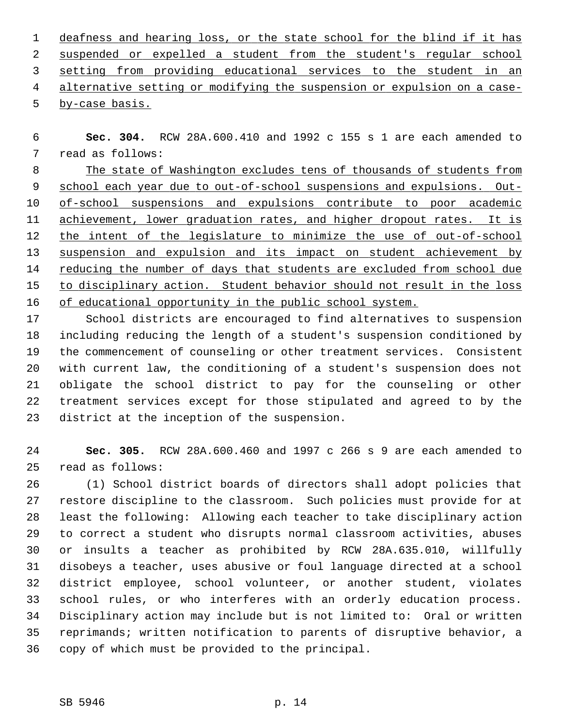deafness and hearing loss, or the state school for the blind if it has suspended or expelled a student from the student's regular school setting from providing educational services to the student in an alternative setting or modifying the suspension or expulsion on a case- by-case basis.

 6 **Sec. 304.** RCW 28A.600.410 and 1992 c 155 s 1 are each amended to 7 read as follows:

 The state of Washington excludes tens of thousands of students from school each year due to out-of-school suspensions and expulsions. Out- of-school suspensions and expulsions contribute to poor academic achievement, lower graduation rates, and higher dropout rates. It is the intent of the legislature to minimize the use of out-of-school suspension and expulsion and its impact on student achievement by reducing the number of days that students are excluded from school due to disciplinary action. Student behavior should not result in the loss of educational opportunity in the public school system.

17 School districts are encouraged to find alternatives to suspension 18 including reducing the length of a student's suspension conditioned by 19 the commencement of counseling or other treatment services. Consistent 20 with current law, the conditioning of a student's suspension does not 21 obligate the school district to pay for the counseling or other 22 treatment services except for those stipulated and agreed to by the 23 district at the inception of the suspension.

24 **Sec. 305.** RCW 28A.600.460 and 1997 c 266 s 9 are each amended to 25 read as follows:

26 (1) School district boards of directors shall adopt policies that 27 restore discipline to the classroom. Such policies must provide for at 28 least the following: Allowing each teacher to take disciplinary action 29 to correct a student who disrupts normal classroom activities, abuses 30 or insults a teacher as prohibited by RCW 28A.635.010, willfully 31 disobeys a teacher, uses abusive or foul language directed at a school 32 district employee, school volunteer, or another student, violates 33 school rules, or who interferes with an orderly education process. 34 Disciplinary action may include but is not limited to: Oral or written 35 reprimands; written notification to parents of disruptive behavior, a 36 copy of which must be provided to the principal.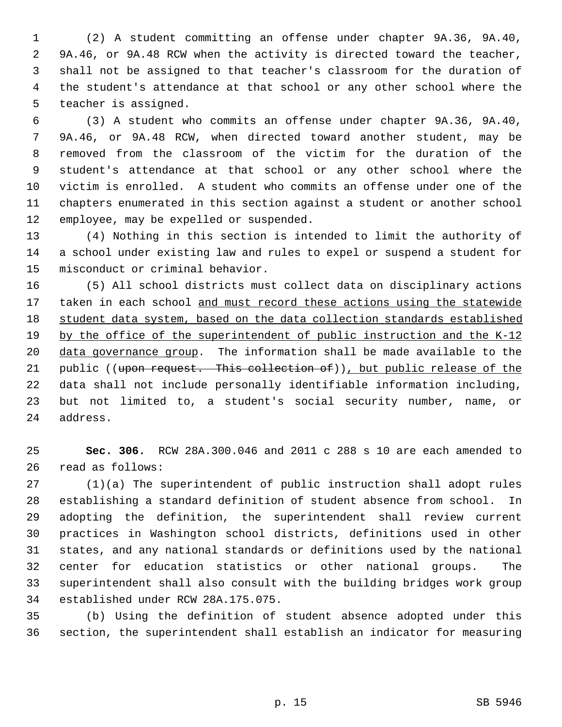1 (2) A student committing an offense under chapter 9A.36, 9A.40, 2 9A.46, or 9A.48 RCW when the activity is directed toward the teacher, 3 shall not be assigned to that teacher's classroom for the duration of 4 the student's attendance at that school or any other school where the 5 teacher is assigned.

 6 (3) A student who commits an offense under chapter 9A.36, 9A.40, 7 9A.46, or 9A.48 RCW, when directed toward another student, may be 8 removed from the classroom of the victim for the duration of the 9 student's attendance at that school or any other school where the 10 victim is enrolled. A student who commits an offense under one of the 11 chapters enumerated in this section against a student or another school 12 employee, may be expelled or suspended.

13 (4) Nothing in this section is intended to limit the authority of 14 a school under existing law and rules to expel or suspend a student for 15 misconduct or criminal behavior.

16 (5) All school districts must collect data on disciplinary actions 17 taken in each school and must record these actions using the statewide 18 student data system, based on the data collection standards established 19 by the office of the superintendent of public instruction and the K-12 20 data governance group. The information shall be made available to the 21 public ((upon request. This collection of)), but public release of the 22 data shall not include personally identifiable information including, 23 but not limited to, a student's social security number, name, or 24 address.

25 **Sec. 306.** RCW 28A.300.046 and 2011 c 288 s 10 are each amended to 26 read as follows:

27 (1)(a) The superintendent of public instruction shall adopt rules 28 establishing a standard definition of student absence from school. In 29 adopting the definition, the superintendent shall review current 30 practices in Washington school districts, definitions used in other 31 states, and any national standards or definitions used by the national 32 center for education statistics or other national groups. The 33 superintendent shall also consult with the building bridges work group 34 established under RCW 28A.175.075.

35 (b) Using the definition of student absence adopted under this 36 section, the superintendent shall establish an indicator for measuring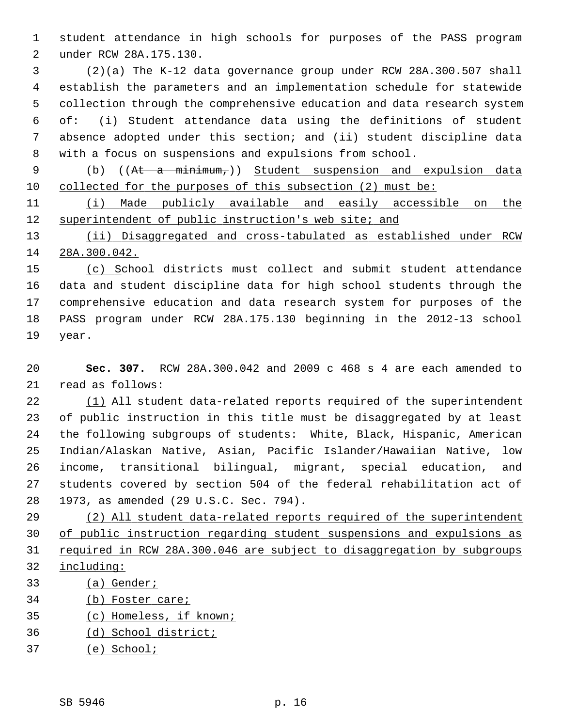1 student attendance in high schools for purposes of the PASS program 2 under RCW 28A.175.130.

 3 (2)(a) The K-12 data governance group under RCW 28A.300.507 shall 4 establish the parameters and an implementation schedule for statewide 5 collection through the comprehensive education and data research system 6 of: (i) Student attendance data using the definitions of student 7 absence adopted under this section; and (ii) student discipline data 8 with a focus on suspensions and expulsions from school.

 9 (b) ((At a minimum,)) Student suspension and expulsion data 10 collected for the purposes of this subsection (2) must be:

11 (i) Made publicly available and easily accessible on the 12 superintendent of public instruction's web site; and

13 (ii) Disaggregated and cross-tabulated as established under RCW 14 28A.300.042.

15 (c) School districts must collect and submit student attendance 16 data and student discipline data for high school students through the 17 comprehensive education and data research system for purposes of the 18 PASS program under RCW 28A.175.130 beginning in the 2012-13 school 19 year.

20 **Sec. 307.** RCW 28A.300.042 and 2009 c 468 s 4 are each amended to 21 read as follows:

22 (1) All student data-related reports required of the superintendent 23 of public instruction in this title must be disaggregated by at least 24 the following subgroups of students: White, Black, Hispanic, American 25 Indian/Alaskan Native, Asian, Pacific Islander/Hawaiian Native, low 26 income, transitional bilingual, migrant, special education, and 27 students covered by section 504 of the federal rehabilitation act of 28 1973, as amended (29 U.S.C. Sec. 794).

 (2) All student data-related reports required of the superintendent of public instruction regarding student suspensions and expulsions as required in RCW 28A.300.046 are subject to disaggregation by subgroups including:

- 33 (a) Gender;
- 34 (b) Foster care;
- 35 (c) Homeless, if known;
- 36 (d) School district;
- 37 (e) School;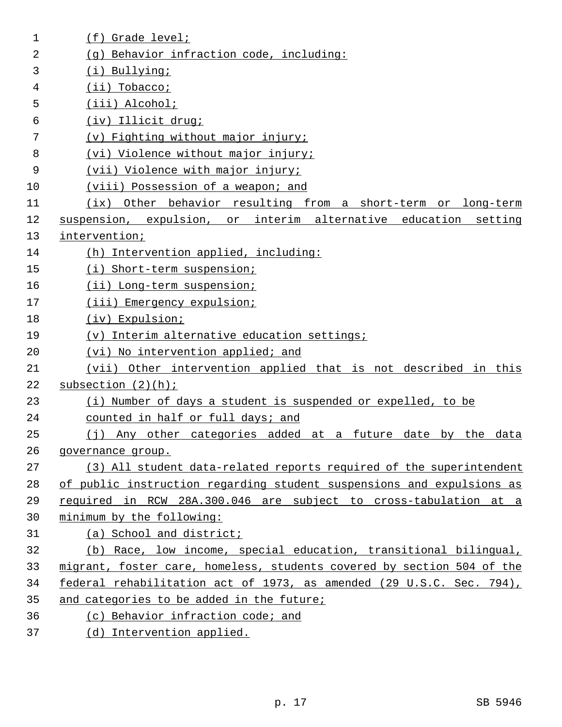| $\mathbf 1$ | (f) Grade level;                                                       |
|-------------|------------------------------------------------------------------------|
| 2           | (g) Behavior infraction code, including:                               |
| 3           | (i) Bullying;                                                          |
| 4           | $(ii)$ Tobacco;                                                        |
| 5           | (iii) Alcohol;                                                         |
| 6           | (iv) Illicit drug;                                                     |
| 7           | (v) Fighting without major injury;                                     |
| 8           | (vi) Violence without major injury;                                    |
| 9           | (vii) Violence with major injury;                                      |
| 10          | (viii) Possession of a weapon; and                                     |
| 11          | (ix) Other behavior resulting from a short-term or long-term           |
| 12          | suspension, expulsion, or interim alternative education setting        |
| 13          | intervention;                                                          |
| 14          | (h) Intervention applied, including:                                   |
| 15          | (i) Short-term suspension;                                             |
| 16          | (ii) Long-term suspension;                                             |
| 17          | (iii) Emergency expulsion;                                             |
| 18          | (iv) Expulsion;                                                        |
| 19          | (v) Interim alternative education settings;                            |
| 20          | (vi) No intervention applied; and                                      |
| 21          | (vii) Other intervention applied that is not described in this         |
| 22          | subsection $(2)(h)$ ;                                                  |
| 23          | (i) Number of days a student is suspended or expelled, to be           |
| 24          | counted in half or full days; and                                      |
| 25          | (j) Any other categories added at a future date by the data            |
| 26          | governance group.                                                      |
| 27          | (3) All student data-related reports required of the superintendent    |
| 28          | of public instruction regarding student suspensions and expulsions as  |
| 29          | required in RCW 28A.300.046 are subject to cross-tabulation at a       |
| 30          | minimum by the following:                                              |
| 31          | (a) School and district;                                               |
| 32          | (b) Race, low income, special education, transitional bilingual,       |
| 33          | migrant, foster care, homeless, students covered by section 504 of the |
| 34          | federal rehabilitation act of 1973, as amended (29 U.S.C. Sec. 794),   |
| 35          | and categories to be added in the future;                              |
| 36          | (c) Behavior infraction code; and                                      |
| 37          | (d) Intervention applied.                                              |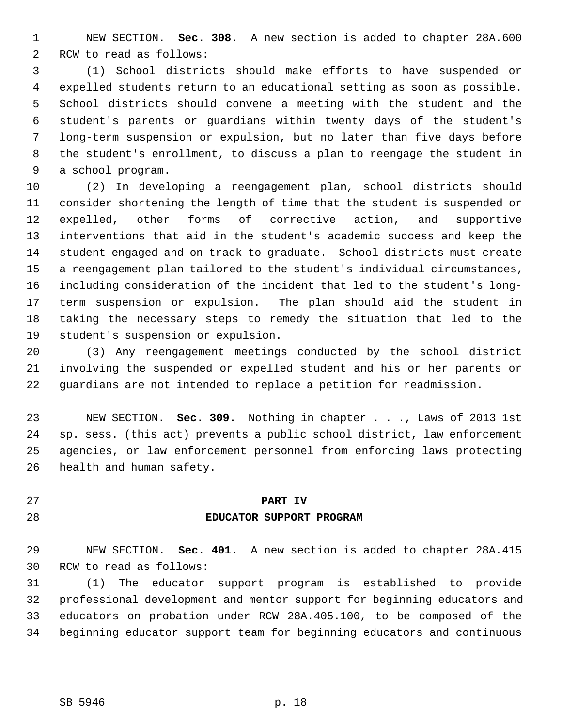1 NEW SECTION. **Sec. 308.** A new section is added to chapter 28A.600 2 RCW to read as follows:

 3 (1) School districts should make efforts to have suspended or 4 expelled students return to an educational setting as soon as possible. 5 School districts should convene a meeting with the student and the 6 student's parents or guardians within twenty days of the student's 7 long-term suspension or expulsion, but no later than five days before 8 the student's enrollment, to discuss a plan to reengage the student in 9 a school program.

10 (2) In developing a reengagement plan, school districts should 11 consider shortening the length of time that the student is suspended or 12 expelled, other forms of corrective action, and supportive 13 interventions that aid in the student's academic success and keep the 14 student engaged and on track to graduate. School districts must create 15 a reengagement plan tailored to the student's individual circumstances, 16 including consideration of the incident that led to the student's long-17 term suspension or expulsion. The plan should aid the student in 18 taking the necessary steps to remedy the situation that led to the 19 student's suspension or expulsion.

20 (3) Any reengagement meetings conducted by the school district 21 involving the suspended or expelled student and his or her parents or 22 guardians are not intended to replace a petition for readmission.

23 NEW SECTION. **Sec. 309.** Nothing in chapter . . ., Laws of 2013 1st 24 sp. sess. (this act) prevents a public school district, law enforcement 25 agencies, or law enforcement personnel from enforcing laws protecting 26 health and human safety.

27 **PART IV**

#### 28 **EDUCATOR SUPPORT PROGRAM**

29 NEW SECTION. **Sec. 401.** A new section is added to chapter 28A.415 30 RCW to read as follows:

31 (1) The educator support program is established to provide 32 professional development and mentor support for beginning educators and 33 educators on probation under RCW 28A.405.100, to be composed of the 34 beginning educator support team for beginning educators and continuous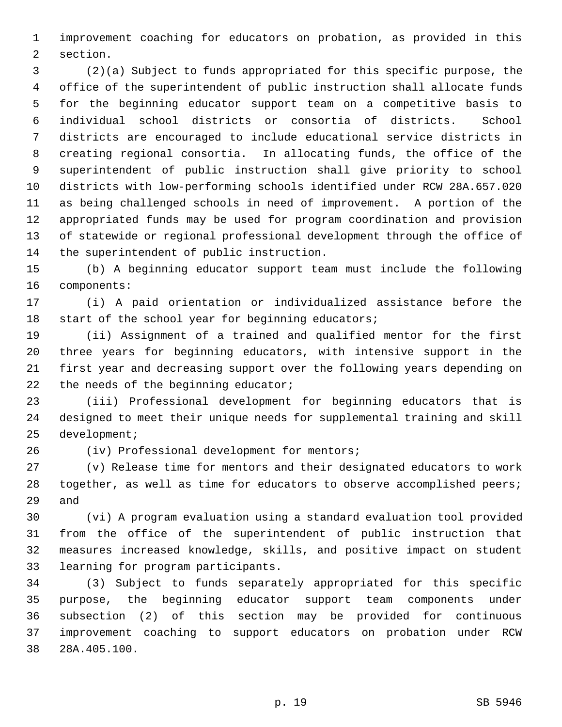1 improvement coaching for educators on probation, as provided in this 2 section.

 3 (2)(a) Subject to funds appropriated for this specific purpose, the 4 office of the superintendent of public instruction shall allocate funds 5 for the beginning educator support team on a competitive basis to 6 individual school districts or consortia of districts. School 7 districts are encouraged to include educational service districts in 8 creating regional consortia. In allocating funds, the office of the 9 superintendent of public instruction shall give priority to school 10 districts with low-performing schools identified under RCW 28A.657.020 11 as being challenged schools in need of improvement. A portion of the 12 appropriated funds may be used for program coordination and provision 13 of statewide or regional professional development through the office of 14 the superintendent of public instruction.

15 (b) A beginning educator support team must include the following 16 components:

17 (i) A paid orientation or individualized assistance before the 18 start of the school year for beginning educators;

19 (ii) Assignment of a trained and qualified mentor for the first 20 three years for beginning educators, with intensive support in the 21 first year and decreasing support over the following years depending on 22 the needs of the beginning educator;

23 (iii) Professional development for beginning educators that is 24 designed to meet their unique needs for supplemental training and skill 25 development;

26 (iv) Professional development for mentors;

27 (v) Release time for mentors and their designated educators to work 28 together, as well as time for educators to observe accomplished peers; 29 and

30 (vi) A program evaluation using a standard evaluation tool provided 31 from the office of the superintendent of public instruction that 32 measures increased knowledge, skills, and positive impact on student 33 learning for program participants.

34 (3) Subject to funds separately appropriated for this specific 35 purpose, the beginning educator support team components under 36 subsection (2) of this section may be provided for continuous 37 improvement coaching to support educators on probation under RCW 38 28A.405.100.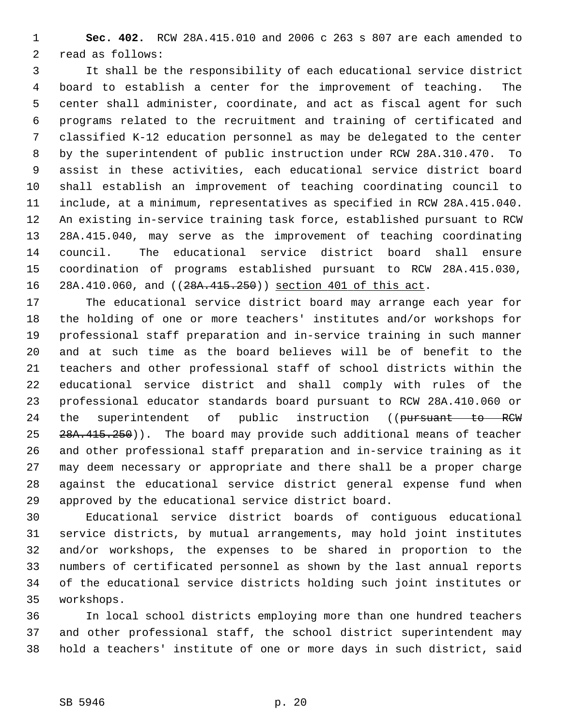1 **Sec. 402.** RCW 28A.415.010 and 2006 c 263 s 807 are each amended to 2 read as follows:

 3 It shall be the responsibility of each educational service district 4 board to establish a center for the improvement of teaching. The 5 center shall administer, coordinate, and act as fiscal agent for such 6 programs related to the recruitment and training of certificated and 7 classified K-12 education personnel as may be delegated to the center 8 by the superintendent of public instruction under RCW 28A.310.470. To 9 assist in these activities, each educational service district board 10 shall establish an improvement of teaching coordinating council to 11 include, at a minimum, representatives as specified in RCW 28A.415.040. 12 An existing in-service training task force, established pursuant to RCW 13 28A.415.040, may serve as the improvement of teaching coordinating 14 council. The educational service district board shall ensure 15 coordination of programs established pursuant to RCW 28A.415.030, 16 28A.410.060, and ((28A.415.250)) section 401 of this act.

17 The educational service district board may arrange each year for 18 the holding of one or more teachers' institutes and/or workshops for 19 professional staff preparation and in-service training in such manner 20 and at such time as the board believes will be of benefit to the 21 teachers and other professional staff of school districts within the 22 educational service district and shall comply with rules of the 23 professional educator standards board pursuant to RCW 28A.410.060 or 24 the superintendent of public instruction ((pursuant to RCW 25 28A.415.250)). The board may provide such additional means of teacher 26 and other professional staff preparation and in-service training as it 27 may deem necessary or appropriate and there shall be a proper charge 28 against the educational service district general expense fund when 29 approved by the educational service district board.

30 Educational service district boards of contiguous educational 31 service districts, by mutual arrangements, may hold joint institutes 32 and/or workshops, the expenses to be shared in proportion to the 33 numbers of certificated personnel as shown by the last annual reports 34 of the educational service districts holding such joint institutes or 35 workshops.

36 In local school districts employing more than one hundred teachers 37 and other professional staff, the school district superintendent may 38 hold a teachers' institute of one or more days in such district, said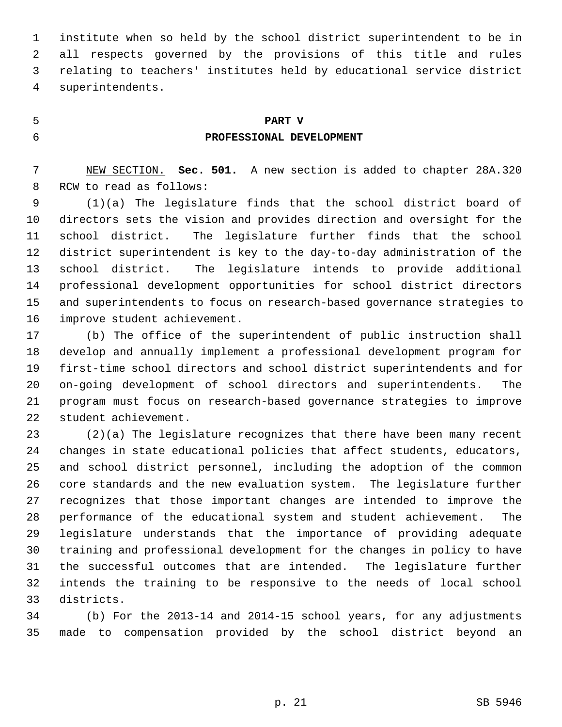1 institute when so held by the school district superintendent to be in 2 all respects governed by the provisions of this title and rules 3 relating to teachers' institutes held by educational service district 4 superintendents.

## 5 **PART V**

# 6 **PROFESSIONAL DEVELOPMENT**

 7 NEW SECTION. **Sec. 501.** A new section is added to chapter 28A.320 8 RCW to read as follows:

 9 (1)(a) The legislature finds that the school district board of 10 directors sets the vision and provides direction and oversight for the 11 school district. The legislature further finds that the school 12 district superintendent is key to the day-to-day administration of the 13 school district. The legislature intends to provide additional 14 professional development opportunities for school district directors 15 and superintendents to focus on research-based governance strategies to 16 improve student achievement.

17 (b) The office of the superintendent of public instruction shall 18 develop and annually implement a professional development program for 19 first-time school directors and school district superintendents and for 20 on-going development of school directors and superintendents. The 21 program must focus on research-based governance strategies to improve 22 student achievement.

23 (2)(a) The legislature recognizes that there have been many recent 24 changes in state educational policies that affect students, educators, 25 and school district personnel, including the adoption of the common 26 core standards and the new evaluation system. The legislature further 27 recognizes that those important changes are intended to improve the 28 performance of the educational system and student achievement. The 29 legislature understands that the importance of providing adequate 30 training and professional development for the changes in policy to have 31 the successful outcomes that are intended. The legislature further 32 intends the training to be responsive to the needs of local school 33 districts.

34 (b) For the 2013-14 and 2014-15 school years, for any adjustments 35 made to compensation provided by the school district beyond an